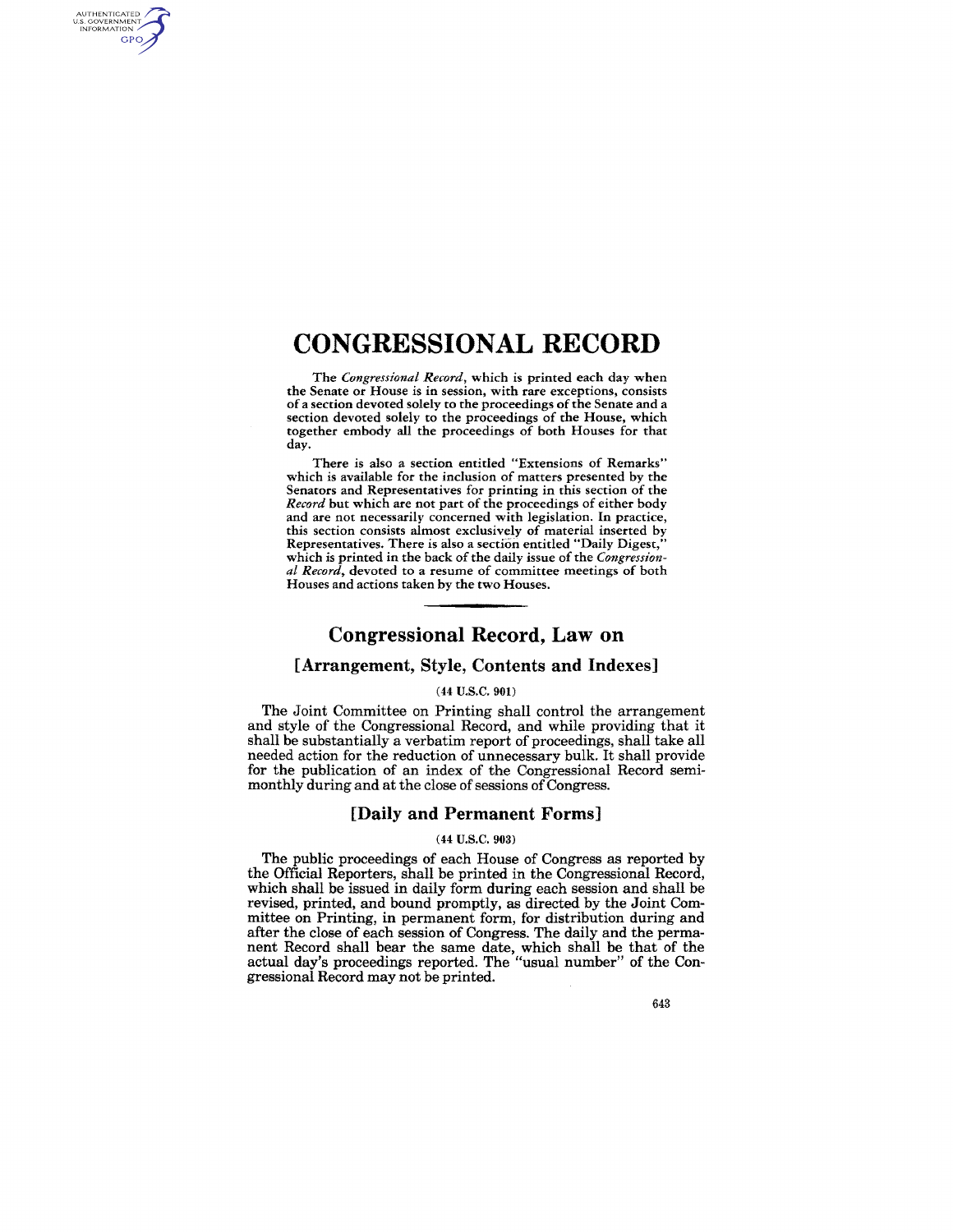## **CONGRESSIONAL RECORD**

AUTHENTICATED<br>U.S. GOVERNMENT<br>INFORMATION **GPO** 

> The *Congressional Record,* which is printed each day when the Senate or House is in session, with rare exceptions, consists of a section devoted solely to the proceedings of the Senate and a section devoted solely to the proceedings of the House, which together embody all the proceedings of both Houses for that day.

> There is also a section entitled "Extensions of Remarks" which is available for the inclusion of matters presented by the Senators and Representatives for printing in this section of the *Record* but which are not part of the proceedings of either body and are not necessarily concerned with legislation. In practice, this section consists almost exclusively of material inserted by Representatives. There is also a section entitled "Daily Digest," which is printed in the back of the daily issue of the *Congressional Record,* devoted to a resume of committee meetings of both Houses and actions taken by the two Houses.

## **Congressional Record, Law on**

## [Arrangement, Style, Contents and Indexes]

#### (44 U.S.C. 901)

The Joint Committee on Printing shall control the arrangement and style of the Congressional Record, and while providing that it shall be substantially a verbatim report of proceedings, shall take all needed action for the reduction of unnecessary bulk. It shall provide for the publication of an index of the Congressional Record semimonthly during and at the close of sessions of Congress.

#### [Daily and Permanent Forms]

#### (44 U.S.C. 903)

The public proceedings of each House of Congress as reported by the Official Reporters, shall be printed in the Congressional Record, which shall be issued in daily form during each session and shall be revised, printed, and bound promptly, as directed by the Joint Committee on Printing, in permanent form, for distribution during and after the close of each session of Congress. The daily and the permanent Record shall bear the same date, which shall be that of the actual day's proceedings reported. The "usual number" of the Congressional Record may not be printed.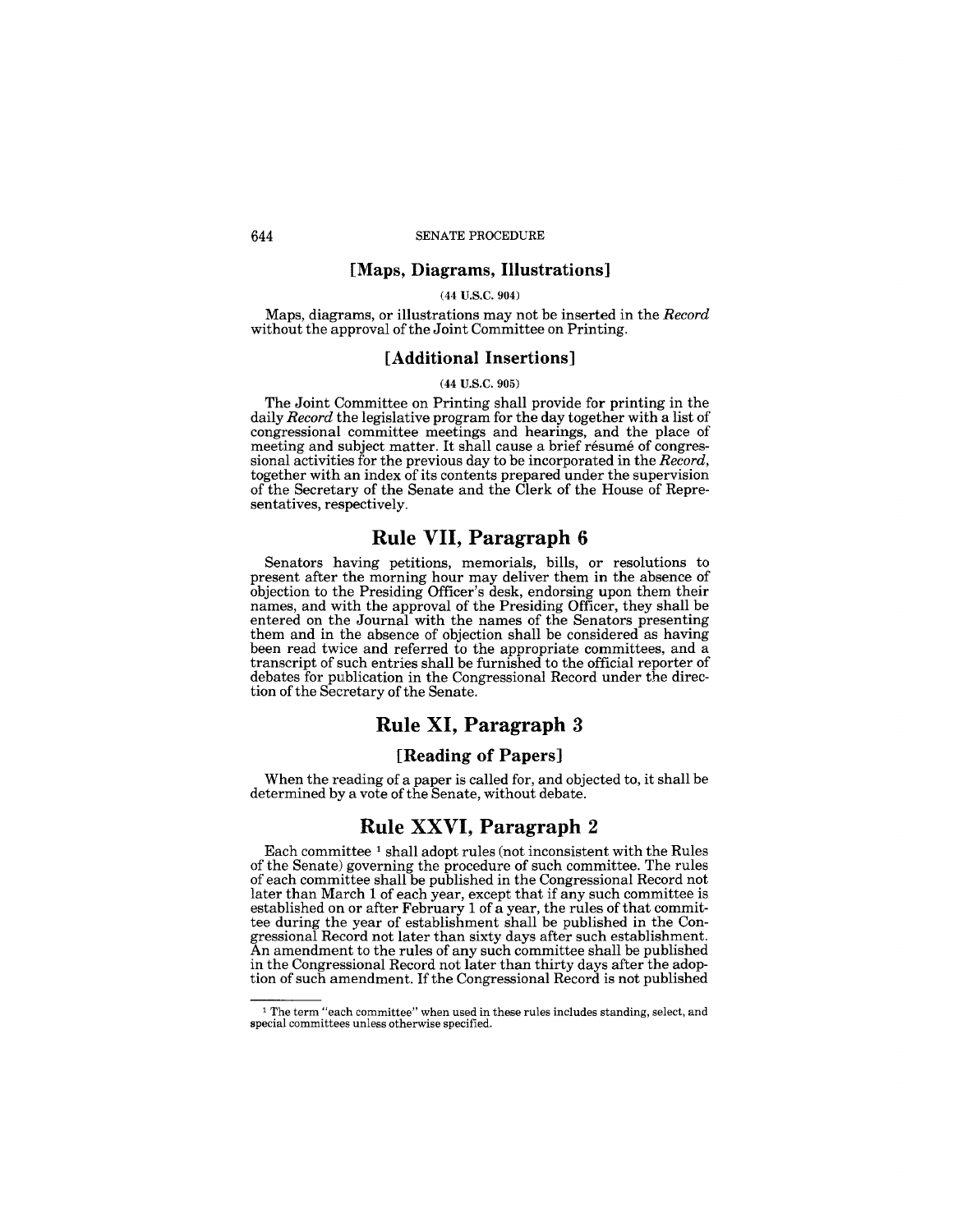#### **[Maps, Diagrams, Illustrations]**

#### (44 U.S.C. 904)

Maps, diagrams, or illustrations may not be inserted in the *Record*  without the approval of the Joint Committee on Printing.

## **[Additional Insertions]**

#### (44 U.S.C. 905)

The Joint Committee on Printing shall provide for printing in the daily *Record* the legislative program for the day together with a list of congressional committee meetings and hearings, and the place of meeting and subject matter. It shall cause a brief resume of congressional activities for the previous day to be incorporated in the *Record,*  together with an index of its contents prepared under the supervision of the Secretary of the Senate and the Clerk of the House of Representatives, respectively.

## **Rule VII, Paragraph 6**

Senators having petitions, memorials, bills, or resolutions to present after the morning hour may deliver them in the absence of objection to the Presiding Officer's desk, endorsing upon them their names, and with the approval of the Presiding Officer, they shall be entered on the Journal with the names of the Senators presenting them and in the absence of objection shall be considered as having been read twice and referred to the appropriate committees, and a transcript of such entries shall be furnished to the official reporter of debates for publication in the Congressional Record under the direction of the Secretary of the Senate.

## **Rule XI, Paragraph** 3

#### **[Reading of Papers]**

When the reading of a paper is called for, and objected to, it shall be determined by a vote of the Senate, without debate.

## **Rule XXVI, Paragraph** 2

Each committee 1 shall adopt rules (not inconsistent with the Rules of the Senate) governing the procedure of such committee. The rules of each committee shall be published in the Congressional Record not later than March 1 of each year, except that if any such committee is established on or after February 1 of a year, the rules of that committee during the year of establishment shall be published in the Congressional Record not later than sixty days after such establishment. An amendment to the rules of any such committee shall be published in the Congressional Record not later than thirty days after the adoption of such amendment. If the Congressional Record is not published

 $^{\rm 1}$  The term "each committee" when used in these rules includes standing, select, and special committees unless otherwise specified.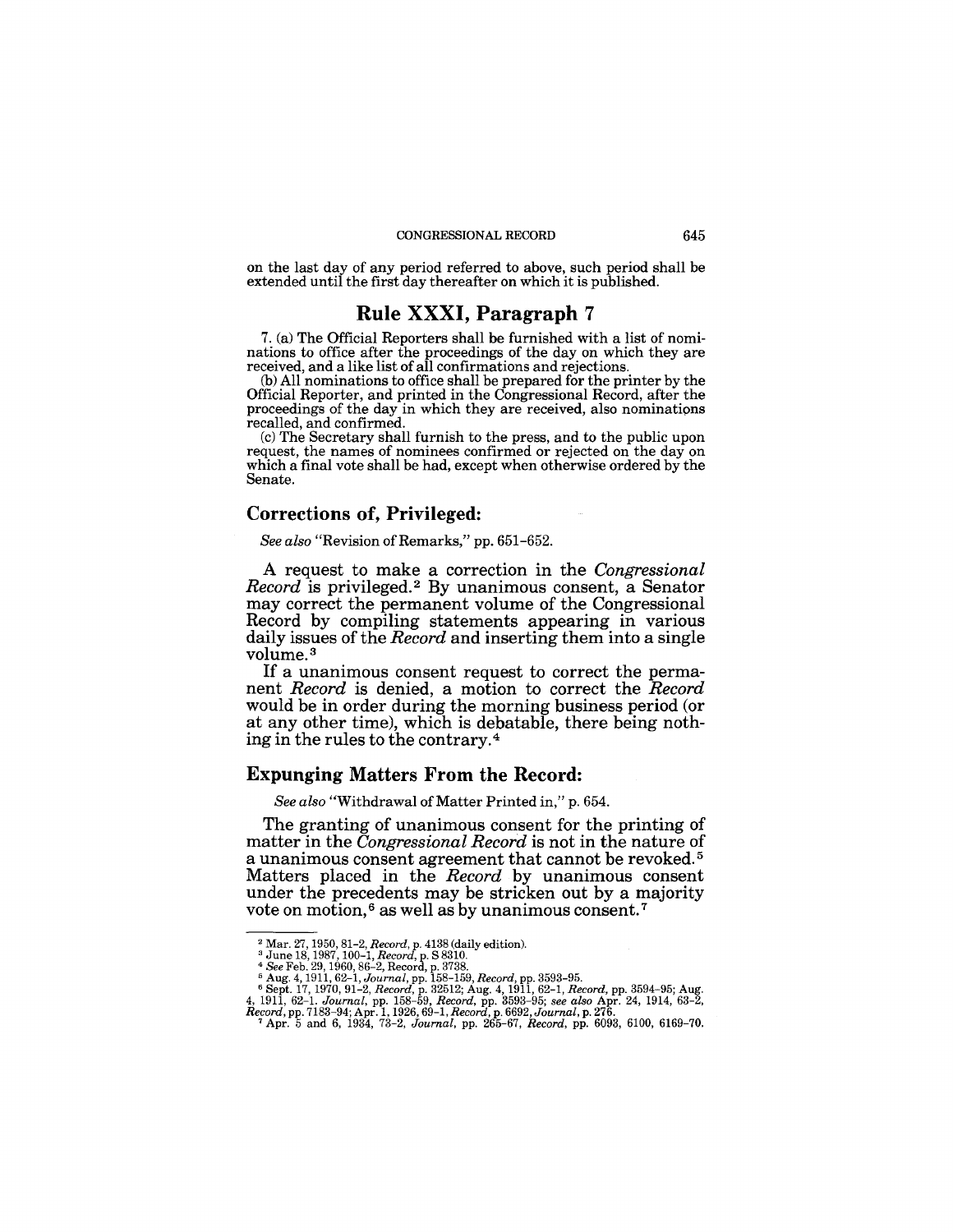on the last day of any period referred to above, such period shall be extended until the first day thereafter on which it is published.

## **Rule XXXI, Paragraph 7**

7. (a) The Official Reporters shall be furnished with a list of nominations to office after the proceedings of the day on which they are received, and a like list of all confirmations and rejections.

(b) All nominations to office shall be prepared for the printer by the Official Reporter, and printed in the Congressional Record, after the proceedings of the day in which they are received, also nominations recalled, and confirmed.

(c) The Secretary shall furnish to the press, and to the public upon request, the names of nominees confirmed or rejected on the day on which a final vote shall be had, except when otherwise ordered by the Senate.

## **Corrections of, Privileged:**

*See also* "Revision of Remarks," pp. 651-652.

A request to make a correction in the *Congressional Record* is privileged. 2 By unanimous consent, a Senator may correct the permanent volume of the Congressional Record by compiling statements appearing in various daily issues of the *Record* and inserting them into a single volume. 3

If a unanimous consent request to correct the permanent *Record* is denied, a motion to correct the *Record*  would be in order during the morning business period (or at any other time), which is debatable, there being nothing in the rules to the contrary. 4

#### **Expunging Matters From the Record:**

*See also* "Withdrawal of Matter Printed in," p. 654.

The granting of unanimous consent for the printing of matter in the *Congressional Record* is not in the nature of a unanimous consent agreement that cannot be revoked. 5 Matters placed in the *Record* by unanimous consent under the precedents may be stricken out by a majority vote on motion,<sup>6</sup> as well as by unanimous consent.<sup>7</sup>

<sup>2</sup>Mar. 27, 1950,81-2, *Record,* p. 4138 (daily edition). 3 June 18, 1987, 100-1, *Record,* p. S 8310.

<sup>&</sup>lt;sup>4</sup> See Feb. 29, 1960, 86-2, Record, p. 3738.<br>
<sup>5</sup> Aug. 4, 1911, 62-1, Journal, pp. 158-159, Record, pp. 3593-95.<br>
<sup>6</sup> Sept. 17, 1970, 91-2, Record, p. 32512; Aug. 4, 1911, 62-1, Record, pp. 3594-95; Aug.<br>
4, 1911, 62-1.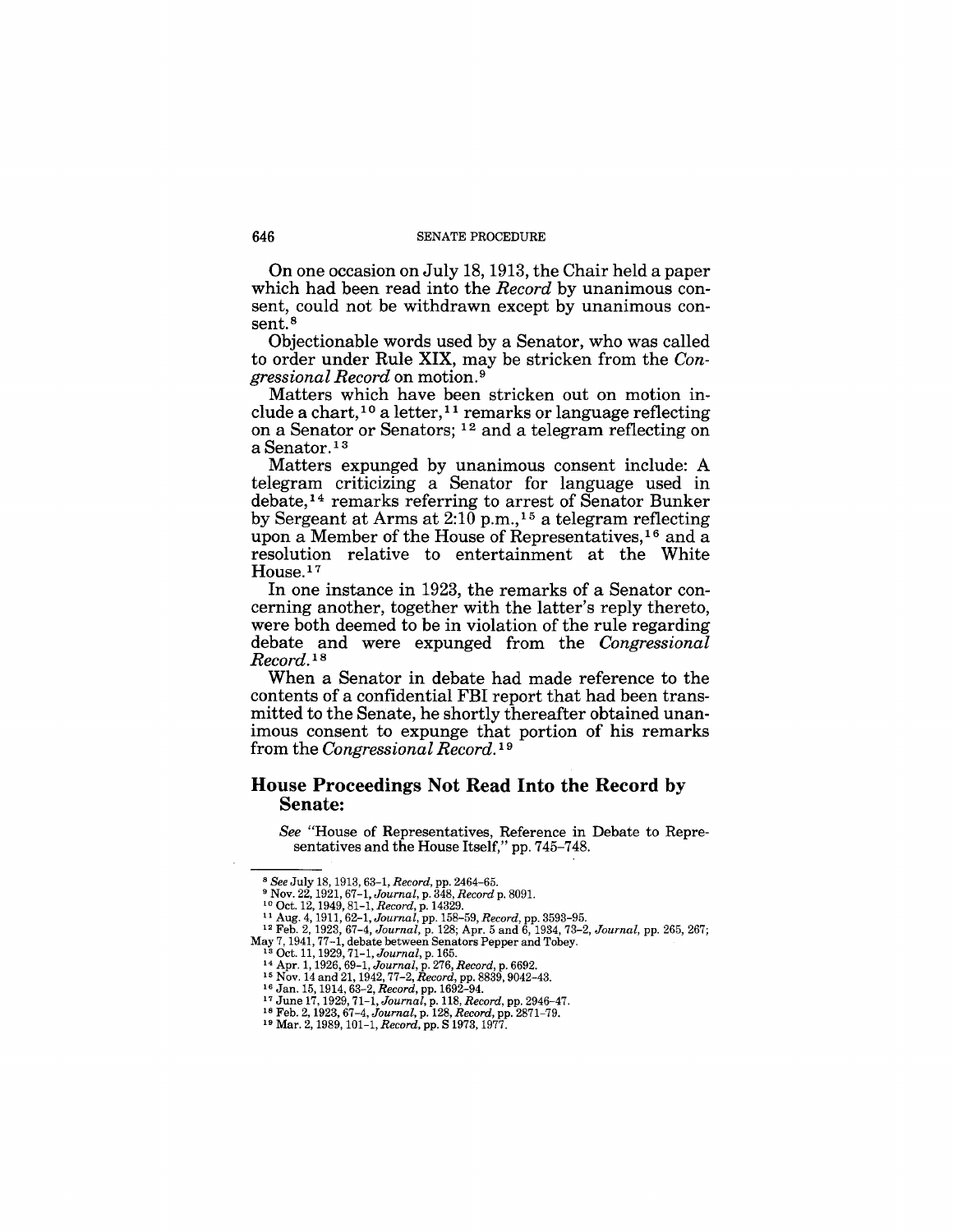**On** one occasion on July 18, 1913, the Chair held a paper which had been read into the *Record* by unanimous consent, could not be withdrawn except by unanimous consent.<sup>8</sup>

Objectionable words used by a Senator, who was called to order under Rule XIX, may be stricken from the *Congressional Record* on motion. 9

Matters which have been stricken out on motion include a chart,<sup>10</sup> a letter,<sup>11</sup> remarks or language reflecting on a Senator or Senators; 12 and a telegram reflecting on a Senator.<sup>13</sup>

Matters expunged by unanimous consent include: A telegram criticizing a Senator for language used in debate,14 remarks referring to arrest of Senator Bunker by Sergeant at Arms at  $2:10$  p.m.,<sup>15</sup> a telegram reflecting upon a Member of the House of Representatives,16 and a resolution relative to entertainment at the White House.<sup>17</sup>

**In** one instance in 1923, the remarks of a Senator concerning another, together with the latter's reply thereto, were both deemed to be in violation of the rule regarding debate and were expunged from the *Congressional Record. I8* 

When a Senator in debate had made reference to the contents of a confidential **FBI** report that had been transmitted to the Senate, he shortly thereafter obtained unanimous consent to expunge that portion of his remarks from the *Congressional Record.* <sup>19</sup>

## **House Proceedings Not Read Into the Record by Senate:**

*See* "House of Representatives, Reference in Debate to Representatives and the House Itself," pp. 745-748.

<sup>8</sup> *See* July 18,1913,63-1, *Record,* pp. 2464-65.

<sup>9</sup>Nov. 22, 1921,67-1, *Journal,* p. 348, *Record* p. 8091. 10 Oct. 12, 1949,81-1, *Record,* p.14329.

<sup>11</sup>Aug. 4, 1911,62-1, *Journal,* pp.158-59, *Record,* pp. 3593-95. 12 Feb. 2, 1923, 67-4, *Journal,* p. 128; Apr. 5 and 6, 1934,73-2, *Journal,* pp. 265, 267; May 7, 1941, 77-1, debate between Senators Pepper and Tobey.<br><sup>13</sup> Oct. 11, 1929, 71-1, Journal, p. 165.<br><sup>14</sup> Apr. 1, 1926, 69-1, Journal, p. 276, Record, p. 6692.<br><sup>15</sup> Nov. 14 and 21, 1942, 77-2, Record, pp. 8839, 9042-43.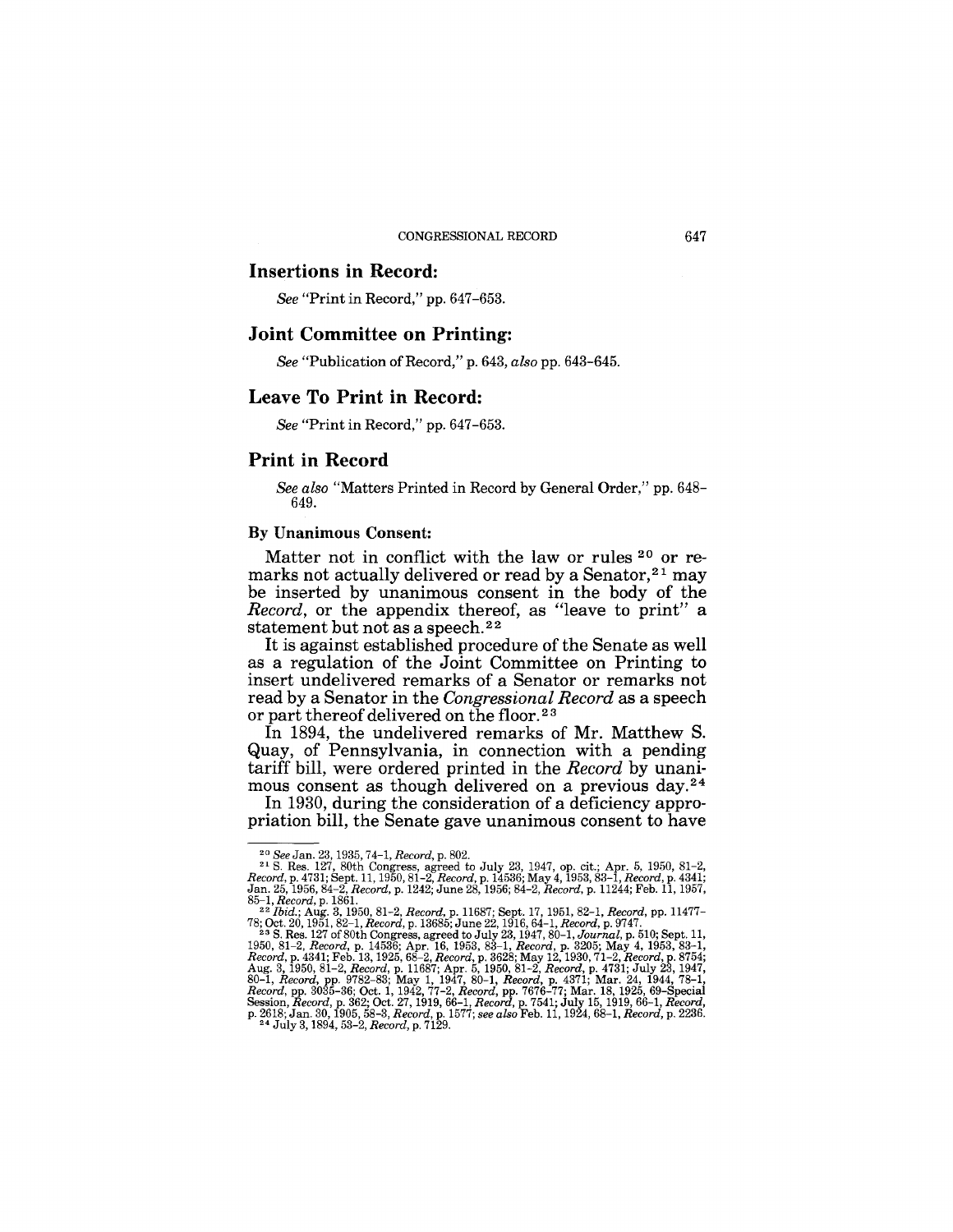#### **Insertions in Record:**

*See* "Print in Record," pp. 647-653.

## **Joint Committee on Printing:**

*See* "Publication of Record," p. 643, *also* pp. 643-645.

#### Leave **To Print in Record:**

*See* "Print in Record," pp. 647-653.

## **Print in Record**

*See also* "Matters Printed in Record by General Order," pp. 648- 649.

#### By Unanimous Consent:

Matter not in conflict with the law or rules 20 or remarks not actually delivered or read by a Senator,  $21$  may be inserted by unanimous consent in the body of the *Record,* or the appendix thereof, as "leave to print" a statement but not as a speech.<sup>22</sup>

It is against established procedure of the Senate as well as a regulation of the Joint Committee on Printing to insert undelivered remarks of a Senator or remarks not read by a Senator in the *Congressional Record* as a speech or part thereof delivered on the floor.<sup>23</sup>

In 1894, the undelivered remarks of Mr. Matthew S. Quay, of Pennsylvania, in connection with a pending tariff bill, were ordered printed in the *Record* by unanimous consent as though delivered on a previous day.24

In 1930, during the consideration of a deficiency appropriation bill, the Senate gave unanimous consent to have

<sup>&</sup>lt;sup>20</sup> See Jan. 23, 1935, 74-1, Record, p. 802.<br>
<sup>21</sup> S. Res. 127, 80th Congress, agreed to July 23, 1947, op. cit.; Apr. 5, 1950, 81-2,  $Record$ , p. 4731; Sept. 11, 1950, 81-2, Record, p. 14536; May 4, 1953, 83-1, Record, p. 4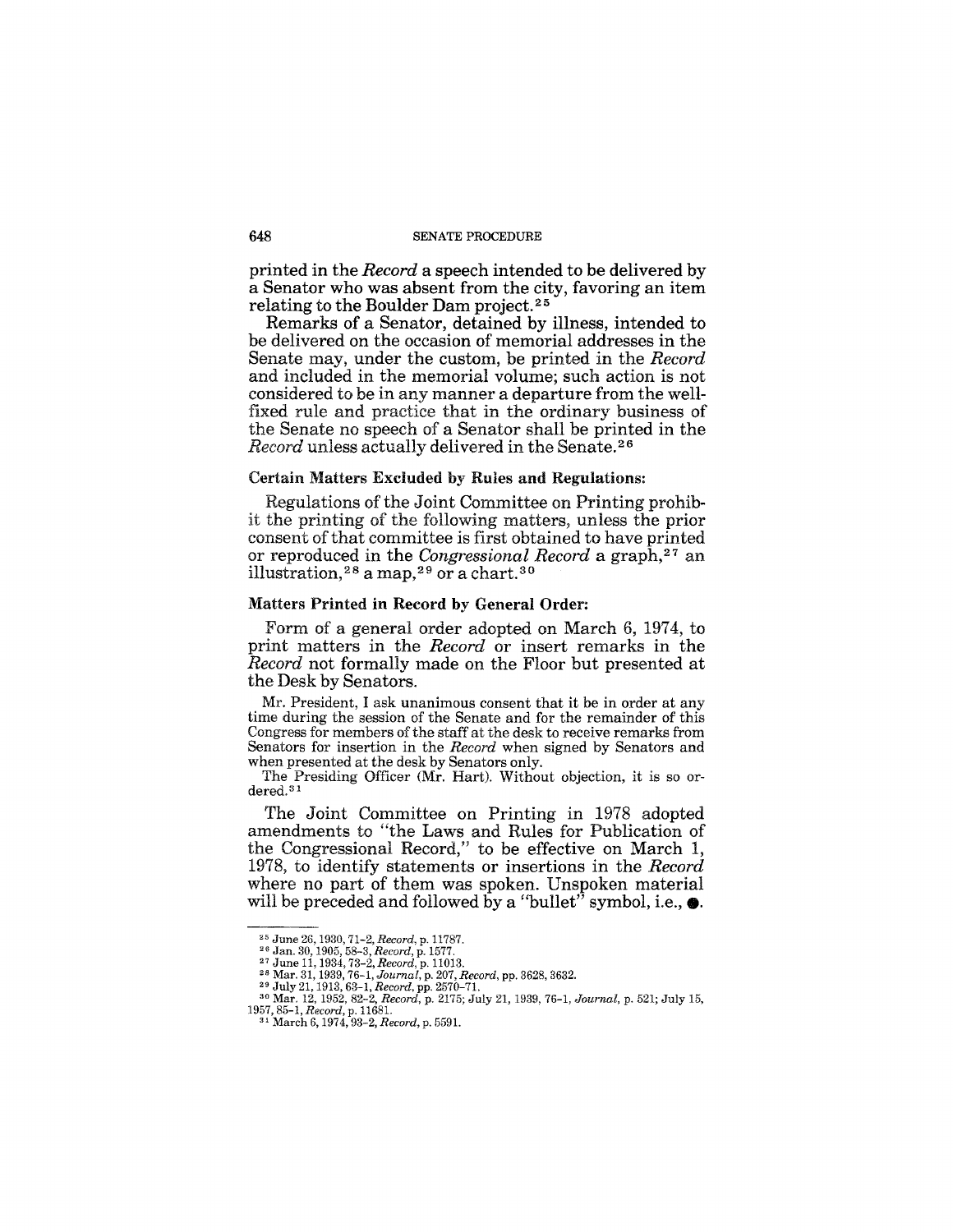printed in the *Record* a speech intended to be delivered by a Senator who was absent from the city, favoring an item relating to the Boulder Dam project.<sup>25</sup>

Remarks of a Senator, detained by illness, intended to be delivered on the occasion of memorial addresses in the Senate may, under the custom, be printed in the *Record*  and included in the memorial volume; such action is not considered to be in any manner a departure from the wellfixed rule and practice that in the ordinary business of the Senate no speech of a Senator shall be printed in the *Record* unless actually delivered in the Senate.<sup>26</sup>

### Certain Matters Excluded by Rules and Regulations:

Regulations of the Joint Committee on Printing prohibit the printing of the following matters, unless the prior consent of that committee is first obtained to have printed or reproduced in the *Congressional Record* a graph,27 an illustration,  $2^8$  a map,  $2^9$  or a chart.  $30^$ 

#### Matters Printed in Record by General Order:

Form of a general order adopted on March 6, 1974, to print matters in the *Record* or insert remarks in the *Record* not formally made on the Floor but presented at the Desk by Senators.

Mr. President, I ask unanimous consent that it be in order at any time during the session of the Senate and for the remainder of this Congress for members of the staff at the desk to receive remarks from Senators for insertion in the *Record* when signed by Senators and when presented at the desk by Senators only.

The Presiding Officer (Mr. Hart). Without objection, it is so ordered. 31

The Joint Committee on Printing in 1978 adopted amendments to "the Laws and Rules for Publication of the Congressional Record," to be effective on March 1, 1978, to identify statements or insertions in the *Record*  where no part of them was spoken. Unspoken material will be preceded and followed by a "bullet" symbol, i.e.,  $\bullet$ .

*1957,85-1, Record,* p. 1168l. 31 March 6, 1974, 93-2, *Record,* p. 5591.

<sup>25</sup> June 26,1930,71-2, *Record,* p. 11787. 26 Jan. 30, 1905, 58-3, *Record,* p. 1577.

<sup>&</sup>lt;sup>27</sup> June 11, 1934, 73–2, *Record,* p. 11013.<br><sup>28</sup> Mar. 31, 1939, 76–1, *Journal*, p. 207, *Record*, pp. 3628, 3632.<br><sup>29</sup> July 21, 1913, 63–1, *Record,* pp. 2570–71.<br><sup>29</sup> Mar. 12, 1952, 82–2, *Record,* p. 2175; July 21, 19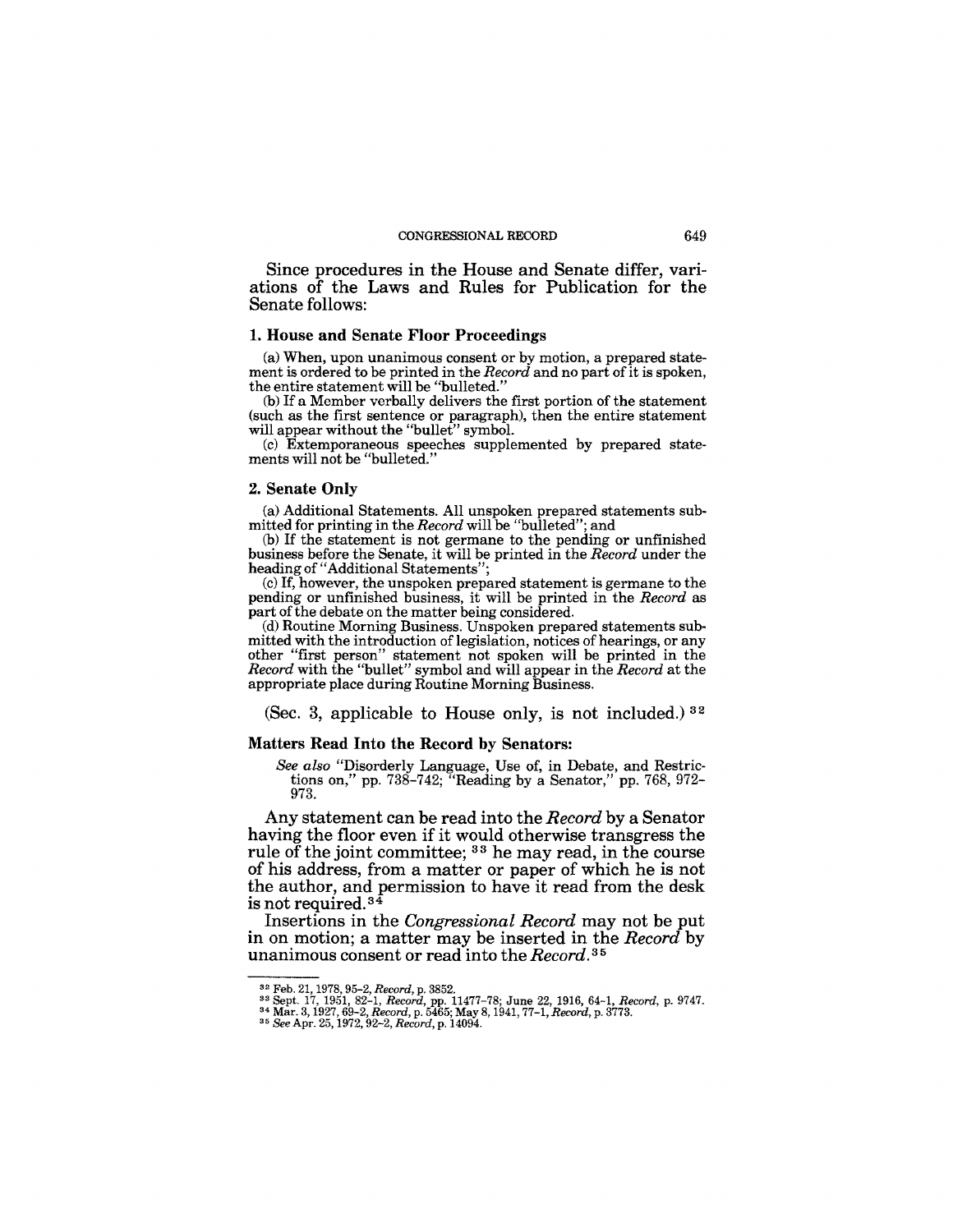Since procedures in the House and Senate differ, variations of the Laws and Rules for Publication for the Senate follows:

#### 1. House and Senate Floor Proceedings

(a) When, upon unanimous consent or by motion, a prepared statement is ordered to be printed in the *Record* and no part of it is spoken, the entire statement will be "bulleted."

(b) If a Member verbally delivers the first portion of the statement (such as the first sentence or paragraph), then the entire statement will appear without the "bullet" symbol.

(c) Extemporaneous speeches supplemented by prepared statements will not be "bulleted."

#### 2. Senate Only

(a) Additional Statements. All unspoken prepared statements submitted for printing in the *Record* will be "bulleted"; and

(b) If the statement is not germane to the pending or unfinished business before the Senate, it will be printed in the *Record* under the heading of "Additional Statements";

(c) If, however, the unspoken prepared statement is germane to the pending or unfinished business, it will be printed in the *Record* as part of the debate on the matter being considered.

(d) Routine Morning Business. Unspoken prepared statements submitted with the introduction of legislation, notices of hearings, or any other "first person" statement not spoken will be printed in the *Record* with the "bullet" symbol and will appear in the *Record* at the appropriate place during Routine Morning Business.

(Sec. 3, applicable to House only, is not included.)  $32$ 

#### Matters Read Into the Record by Senators:

*&e also* "Disorderly Language, Use of, in Debate, and Restrictions on," pp. 738-742; "Reading by a Senator," pp. 768, 972- 973.

Any statement can be read into the *Record* by a Senator having the floor even if it would otherwise transgress the rule of the joint committee; <sup>33</sup> he may read, in the course of his address, from a matter or paper of which he is not the author, and permission to have it read from the desk is not required.<sup>34</sup>

Insertions in the *Congressional Record* may not be put in on motion; a matter may be inserted in the *Record* by unanimous consent or read into the *Record.* 35

 $^{32}$  Feb. 21, 1978, 95–2, Record, p. 3852.<br> $^{33}$  Sept. 17, 1951, 82–1, Record, pp. 11477–78; June 22, 1916, 64–1, Record, p. 9747.<br> $^{34}$  Mar. 3, 1927, 69–2, Record, p. 5465; May 8, 1941, 77–1, Record, p. 3773.<br> $^{35}$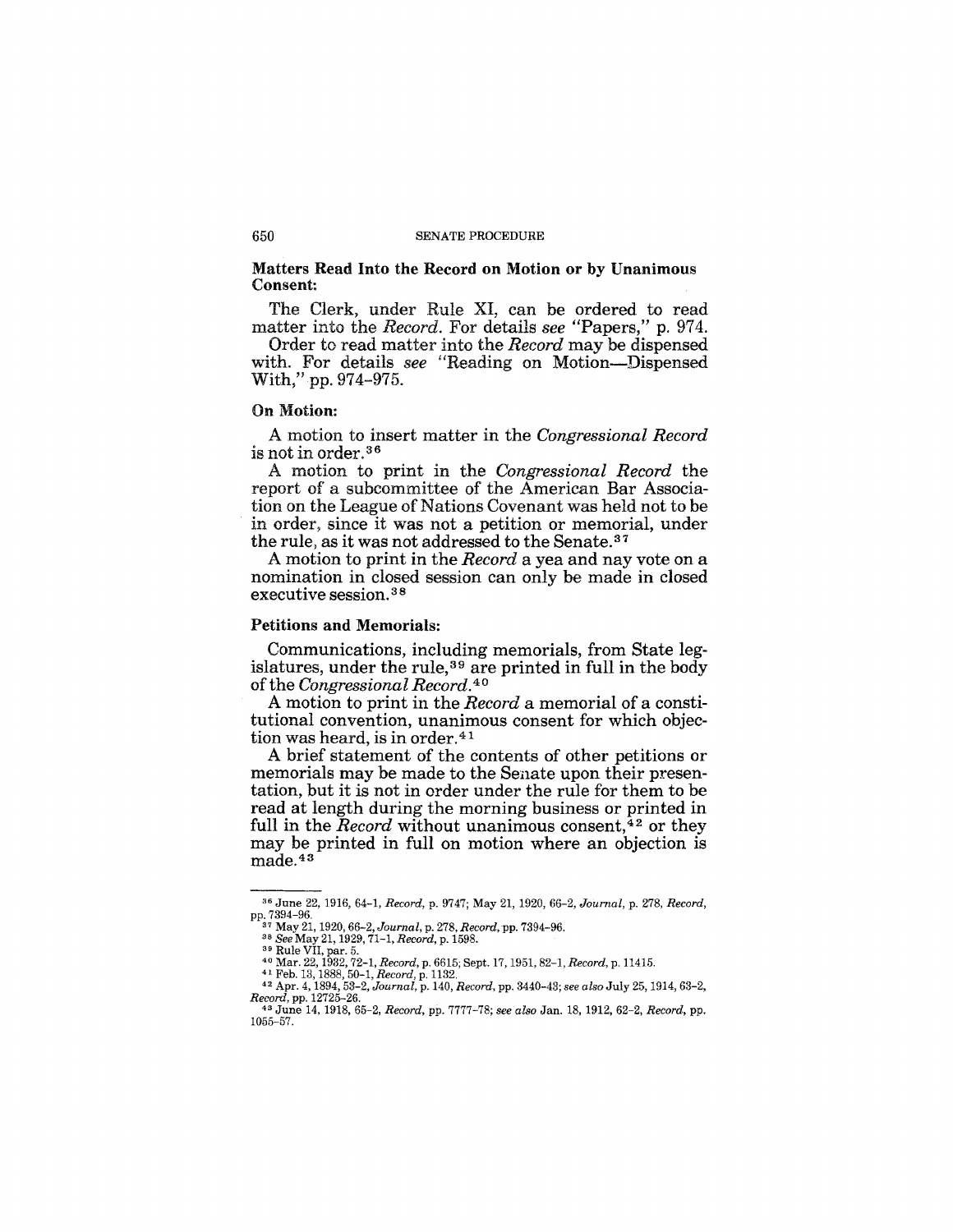#### Matters Read Into the Record on Motion or by Unanimous Consent:

The Clerk, under Rule XI, can be ordered to read matter into the *Record.* For details *see* "Papers," p. 974.

Order to read matter into the *Record* may be dispensed with. For details *see* "Reading on Motion-Dispensed With," pp. 974-975.

#### On Motion:

A motion to insert matter in the *Congressional Record*  is not in order. 36

A motion to print in the *Congressional Record* the report of a subcommittee of the American Bar Association on the League of Nations Covenant was held not to be in order, since it was not a petition or memorial, under the rule, as it was not addressed to the Senate.<sup>37</sup>

A motion to print in the *Record* a yea and nay vote on a nomination in closed session can only be made in closed executive session. 38

## Petitions and Memorials:

Communications, including memorials, from State legislatures, under the rule,<sup>39</sup> are printed in full in the body of the *Congressional Record*.<sup>40</sup>

A motion to print in the *Record* a memorial of a constitutional convention, unanimous consent for which objection was heard, is in order.<sup>41</sup>

A brief statement of the contents of other petitions or memorials may be made to the Senate upon their presentation, but it is not in order under the rule for them to be read at length during the morning business or printed in full in the *Record* without unanimous consent, $42$  or they may be printed in full on motion where an objection is made.43

<sup>36</sup> June 22, 1916, 64-1, *Record,* p. 9747; May 21, 1920,66-2, *Journal,* p. 278, *Record,*  pp. 7394-96. 37 May 21, 1920,66-2, *Journal,* p. 278, *Record,* pp. 7394-96. *38 See* May 21,1929, *71-1,Record,* p. 1598. 39 Rule VII, par. 5.

<sup>40</sup> Mar. 22,1932,72-1, *Record,* p. 6615; Sept. 17,1951, 82-1, *Record,* p. 11415. 41 Feb. 13, 1888, 50-1, *Record,* p. 1132.

<sup>42</sup>Apr. 4, 1894,53-2, *Journal,* p. 140, *Record,* pp. 3440-43; *see also* July 25, 1914, 63-2, *Record,* pp. 12725-26.

<sup>43</sup> June 14, 1918, 65-2, *Record,* pp. 7777-78; *see also* Jan. 18, 1912, 62-2, *Record,* pp. 1055-57.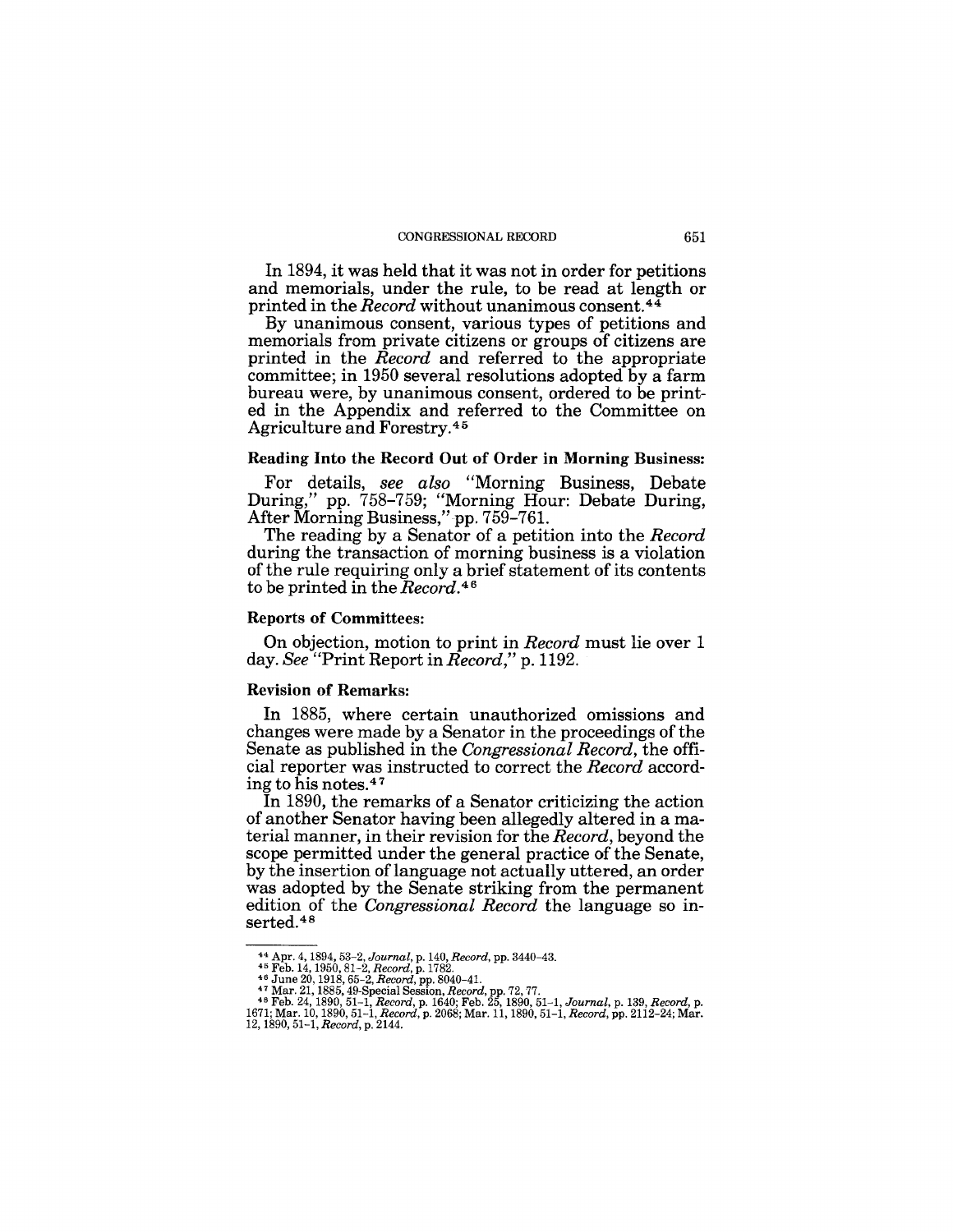#### CONGRESSIONAL RECORD 651

In 1894, it was held that it was not in order for petitions and memorials, under the rule, to be read at length or printed in the *Record* without unanimous consent.44

By unanimous consent, various types of petitions and memorials from private citizens or groups of citizens are printed in the *Record* and referred to the appropriate committee; in 1950 several resolutions adopted by a farm bureau were, by unanimous consent, ordered to be printed in the Appendix and referred to the Committee on Agriculture and Forestry.45

#### Reading Into the Record Out of Order in Morning Business:

For details, *see also* "Morning Business, Debate During," pp. 758-759; "Morning Hour: Debate During, After Morning Business,"pp. 759-761.

The reading by a Senator of a petition into the *Record*  during the transaction of morning business is a violation of the rule requiring only a brief statement of its contents to be printed in the *Record.*<sup>46</sup>

## Reports of Committees:

On objection, motion to print in *Record* must lie over 1 day. *See* "Print Report in *Record,"* p. 1192.

#### Revision of Remarks:

In 1885, where certain unauthorized omissions and changes were made by a Senator in the proceedings of the Senate as published in the *Congressional Record,* the official reporter was instructed to correct the *Record* according to his notes.4 7

In 1890, the remarks of a Senator criticizing the action of another Senator having been allegedly altered in a material manner, in their revision for the *Record,* beyond the scope permitted under the general practice of the Senate, by the insertion of language not actually uttered, an order was adopted by the Senate striking from the permanent edition of the *Congressional Record* the language so inserted.48

<sup>&</sup>lt;sup>44</sup> Apr. 4, 1894, 53–2, Journal, p. 140, Record, pp. 3440–43.<br><sup>45</sup> Feb. 14, 1950, 81–2, Record, p. 1782.<br><sup>45</sup> June 20, 1918, 65–2, Record, pp. 8040–41.<br><sup>47</sup> Mar. 21, 1885, 49-Special Session, Record, pp. 72, 77.<br><sup>48</sup> Feb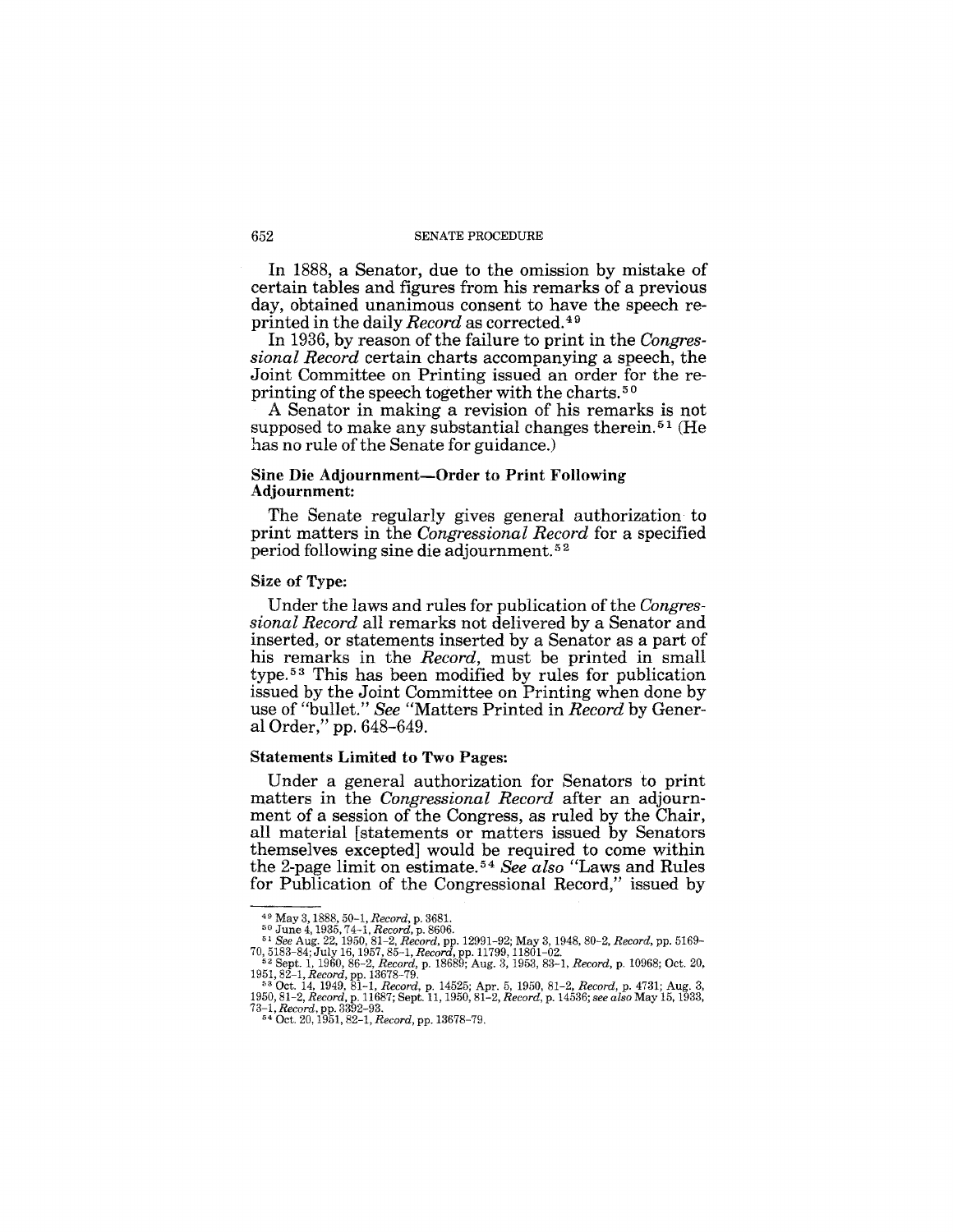In 1888, a Senator, due to the omission by mistake of certain tables and figures from his remarks of a previous day, obtained unanimous consent to have the speech reprinted in the daily *Record* as corrected.49

In 1936, by reason of the failure to print in the *Congressional Record* certain charts accompanying a speech, the Joint Committee on Printing issued an order for the reprinting of the speech together with the charts.<sup>50</sup>

A Senator in making a revision of his remarks is not supposed to make any substantial changes therein. 51 (He has no rule of the Senate for guidance.)

#### Sine Die Adjournment-Order to Print Following Adjournment:

The Senate regularly gives general authorization to print matters in the *Congressional Record* for a specified period following sine die adjournment. 52

## Size of Type:

Under the laws and rules for publication of the *Congressional Record* all remarks not delivered by a Senator and inserted, or statements inserted by a Senator as a part of his remarks in the *Record,* must be printed in small  $type. <sup>53</sup>$  This has been modified by rules for publication issued by the Joint Committee on Printing when done by use of "bullet." *See* "Matters Printed in *Record* by General Order," pp. 648-649.

#### Statements Limited to Two Pages:

Under a general authorization for Senators to print matters in the *Congressional Record* after an adjournment of a session of the Congress, as ruled by the Chair, all material [statements or matters issued by Senators themselves excepted] would be required to come within the 2-page limit on estimate. 54 *See also* "Laws and Rules for Publication of the Congressional Record," issued by

<sup>49</sup> May 3, 1888, *50-1,Record,* p. 3681. 50 June 4, 1935, 74-1, *Record,* p. 8606. *51 See* Aug. 22, 1950, 81-2, *Record,* pp. 12991-92; May 3,1948,80-2, *Record,* pp. 5169-

<sup>70,5183-84;</sup> JUly 16,1957,85-1, *Record,* pp.l1799, 11801-02. 52 Sept. 1, 1960, 86-2, *Record,* p. 18689; Aug. 3, 1953, 83-1, *Record,* p. 10968; Oct. 20,

<sup>1951, 82-1,</sup> Record, pp. 18678-79.<br>
<sup>58</sup> Oct. 14, 1949, 81-1, Record, p. 14525; Apr. 5, 1950, 81-2, Record, p. 4731; Aug. 3, 1950, 81-1, Record, p. 11687; Sept. 11, 1950, 81-2, Record, p. 14536; see also May 15, 1933, 73-1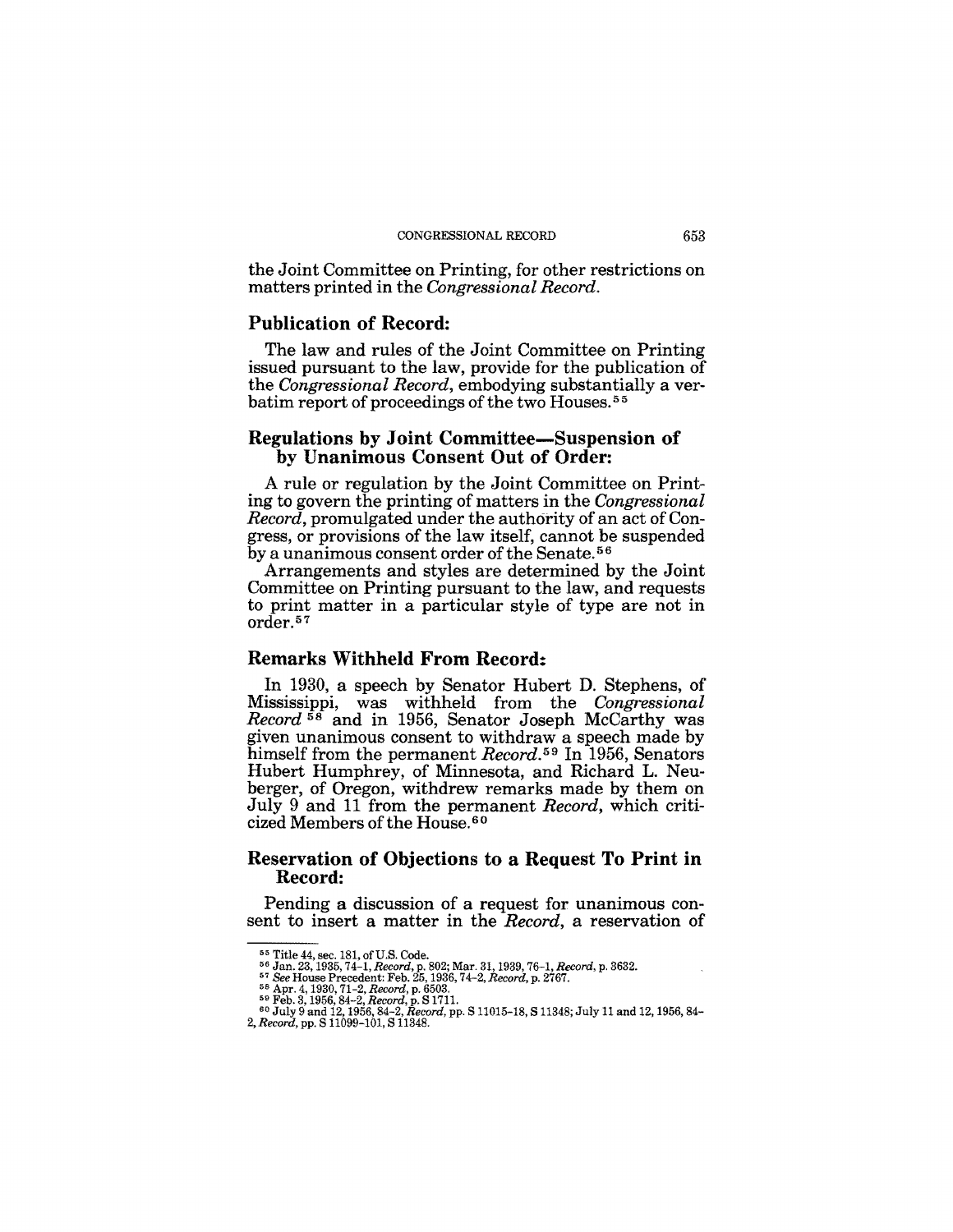the Joint Committee on Printing, for other restrictions on matters printed in the *Congressional Record.* 

## **Publication of Record:**

The law and rules of the Joint Committee on Printing issued pursuant to the law, provide for the publication of the *Congressional Record,* embodying substantially a verbatim report of proceedings of the two Houses.<sup>55</sup>

## **Regulations by Joint Committee-Suspension of by Unanimous Consent Out of Order:**

A rule or regulation by the Joint Committee on Printing to govern the printing of matters in the *Congressional Record,* promulgated under the authority of an act of Congress, or provisions of the law itself, cannot be suspended by a unanimous consent order of the Senate. 56

Arrangements and styles are determined by the Joint Committee on Printing pursuant to the law, and requests to print matter in a particular style of type are not in order. 57

## **Remarks Withheld From Record:**

In 1930, a speech by Senator Hubert D. Stephens, of Mississippi, was withheld from the *Congressional Record* 58 and in 1956, Senator Joseph McCarthy was given unanimous consent to withdraw a speech made by himself from the permanent *Record. 59* In 1956, Senators Hubert Humphrey, of Minnesota, and Richard L. Neuberger, of Oregon, withdrew remarks made by them on July 9 and 11 from the permanent *Record,* which criticized Members of the House.<sup>60</sup>

## **Reservation of Objections to a Request To Print in Record:**

Pending a discussion of a request for unanimous consent to insert a matter in the *Record,* a reservation of

<sup>&</sup>lt;sup>55</sup> Title 44, sec. 181, of U.S. Code.<br><sup>56</sup> Jan. 23, 1935, 74–1*, Record,* p. 802; Mar. 31, 1939, 76–1*, Record,* p. 3632.

<sup>&</sup>lt;sup>57</sup> See House Precedent: Feb. 25, 1936, 74–2, Record, p. 2767.<br><sup>58</sup> Apr. 4, 1930, 71–2, Record, p. 6503.<br><sup>59</sup> Feb. 3, 1956, 84–2, Record, p. 81711.<br><sup>69</sup> July 9 and 12, 1956, 84–2, Record, pp. S 11015–18, S 11348; July 11